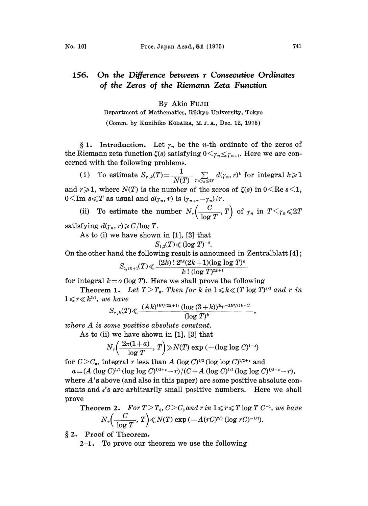## 156. On the Difference between <sup>r</sup> Consecutive Ordinates of the Zeros of the Riemann Zeta Function

## By Akio FujIi

Department of Mathematics, Rikkyo University, Tokyo (Comm. by Kunihiko KODAIRA, M. J. A., Dec. 12, 1975)

§ 1. Introduction. Let  $\gamma_n$  be the *n*-th ordinate of the zeros of the Riemann zeta function  $\zeta(s)$  satisfying  $0 \leq \gamma_n \leq \gamma_{n+1}$ . Here we are concerned with the following problems.

(i) To estimate  $S_{r,k}(T) = \frac{1}{N(T)} \sum_{T \leq r_n \leq 2T} d(r_n, r)^k$  for integral and  $r \geq 1$ , where  $N(T)$  is the number of the zeros of  $\zeta(s)$  in  $0 \leq \text{Re } s \leq 1$ ,  $0 \leq \text{Im } s \leq T$  as usual and  $d(\gamma_n, r)$  is  $(\gamma_{n+r}-\gamma_n)/r$ .

(ii) To estimate the number  $N_r\left(\frac{C}{\log T}, T\right)$  of  $\gamma_n$  in  $T < \gamma_n \leq 2T$ 

satisfying  $d(\gamma_n, r) \geqslant C/\log T$ .

As to (i) we have shown in [1], [3] that

$$
S_{1,2}(T)\ll (\log\,T)^{-2}.
$$

On the other hand the following result is announced in Zentralblatt [4]

$$
S_{1,2k+1}(T)\ll \frac{(2k)\,!\,2^{2k}(2k+1)(\log\log\,T)^k}{k\,! \ (\log\,T)^{2k+1}}
$$

for integral  $k = o$  (log T). Here we shall prove the following

**Theorem 1.** Let  $T>T_0$ . Then for k in  $1 \le k \le (T \log T)^{2/3}$  and r in  $1 \leqslant r \leqslant k^{3/2}$ , we have

$$
S_{r,k}(T)\ll \frac{(Ak)^{3k^2/(2k+1)}\ (\log\ (3+k))^{k}r^{-2k^2/(2k+1)}}{(\log\ T)^k}
$$

where A is some positive absolute constant.

As to (ii) we have shown in [1], [3] that

$$
N_r\left(\frac{2\pi(1+a)}{\log T}, T\right) \gg N(T) \exp\left(-(\log\log C)^{1-\epsilon}\right)
$$

for  $C>C_0$ , integral r less than A (log C)<sup>1/2</sup> (log log C)<sup>1/2+</sup> and

 $a = (A (\log C)^{1/2} (\log \log C)^{1/2 + \epsilon} - r)/(C + A (\log C)^{1/2} (\log \log C)^{1/2 + \epsilon} - r),$ 

where A's above (and also in this paper) are some positive absolute constants and  $\epsilon$ 's are arbitrarily small positive numbers. Here we shall prove

Theorem 2. For 
$$
T > T_0
$$
,  $C > C_0$  and  $r$  in  $1 \leq r \leq T \log T$ , we have\n
$$
N_r \left( \frac{C}{\log T}, T \right) \ll N(T) \exp \left( -A(rC)^{2/3} \left( \log r C \right)^{-1/3} \right).
$$

2. Proof of Theorem.

 $2-1$ . To prove our theorem we use the following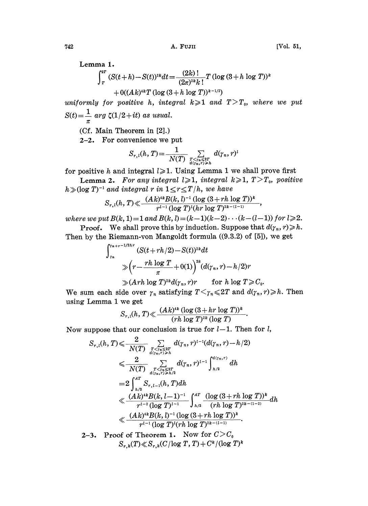Lemma 1.

$$
\int_{T}^{2T} (S(t+h)-S(t))^{2k} dt = \frac{(2k)!}{(2\pi)^{2k}k!} T (\log (3+h \log T))^k
$$
  
+ O((Ak)^{4k}T (\log (3+h \log T))^{k-1/2})

uniformly for positive h, integral  $k\geqslant 1$  and  $T>T_0$ , where we put  $S(t) = \frac{1}{\pi} \arg \zeta(1/2 + it)$  as usual.

(Cf. Main Theorem in [2].)

2-2. For convenience we put

$$
S_{r,l}(h,T) = \frac{1}{N(T)} \sum_{\substack{T \leq r_n \leq 2T \\ d(r_n,r) \geq h}} d(\gamma_n,r)^l
$$

for positive h and integral  $l \geq 1$ . Using Lemma 1 we shall prove first

**Lemma 2.** For any integral  $l \ge 1$ , integral  $k \ge 1$ ,  $T > T_0$ , positive  $h\gg(\log T)^{-1}$  and integral r in  $1\leq r\leq T/h$ , we have<br> $\alpha$   $(h, \pi)$   $\ll$   $(Ak)^{4k}B(k, l)^{-1}(\log(3+rh))$ 

$$
S_{r,l}(h,T) \ll \frac{(Ak)^{ik}B(k,l)^{-1}(\log(3+rh\log T))^k}{r^{l-1}(\log T)^l(hr\log T)^{2k-(l-1)}},
$$

 $s_{r,l}(h, 1) \ll \frac{r^{l-1}(\log T)^l(hr \log T)^{2k-(l-1)}}{r^{l-1}(\log T)^l(hr \log T)^{2k-(l-1)})},$ <br>where we put  $B(k, 1) = 1$  and  $B(k, l) = (k-1)(k-2) \cdots (k-(l-1))$  for  $l \geqslant 2$ .

**Proof.** We shall prove this by induction. Suppose that  $d(\gamma_n, r) \ge h$ . Then by the Riemann-von Mangoldt formula ((9.3.2) of [5]), we get

$$
\int_{\tau_n}^{\tau_{n+r-1/2h\tau}} (S(t+rh/2)-S(t))^{2k} dt
$$
  
\n
$$
\gg \left(r - \frac{rh \log T}{\pi} + O(1)\right)^{2k} (d(\gamma_n, r) - h/2)r
$$
  
\n
$$
\gg (Arh \log T)^{2k} d(\gamma_n, r)r \qquad \text{for } h \log T \geq C_0.
$$

We sum each side over  $\gamma_n$  satisfying  $T \leq \gamma_n \leq 2T$  and  $d(\gamma_n, r) \geq h$ . Then using Lemma <sup>1</sup> we get

$$
S_{r,1}(h, T) \ll \frac{(Ak)^{ik} (\log{(3+hr \log{T})})^k}{(rh \log{T})^{2k} (\log{T})}.
$$

Now suppose that our conclusion is true for 
$$
l-1
$$
. Then for  $l$ ,  
\n
$$
S_{r,l}(h, T) \leq \frac{2}{N(T)} \sum_{\substack{T \leq r_0 \leq 2T \\ d(r_n, r) > h}} d(r_n, r)^{l-1}(d(r_n, r) - h/2)
$$
\n
$$
\leq \frac{2}{N(T)} \sum_{\substack{T \leq r_0 \leq 2T \\ d(r_n, r) > h/2}} d(r_n, r)^{l-1} \int_{h/2}^{d(r_n, r)} dh
$$
\n
$$
= 2 \int_{h/2}^{4T} S_{r, l-1}(h, T) dh
$$
\n
$$
\leq \frac{(Ak)^{4k}B(k, l-1)^{-1}}{r^{l-2}(\log T)^{l-1}} \int_{h/2}^{4T} \frac{(\log(3+rh \log T))^k}{(rh \log T)^{2k-(l-2)}} dh
$$
\n
$$
\leq \frac{(Ak)^{4k}B(k, l)^{-1}(\log(3+rh \log T))^k}{r^{l-1}(\log T)^{l}(rh \log T)^{2k-(l-1)}}.
$$
\n2-3. Proof of Theorem 1. Now for  $C > C_0$ 

 $S_{r,k}(T) \ll S_{r,k}(C/\log T, T) + C^k/(\log T)^k$